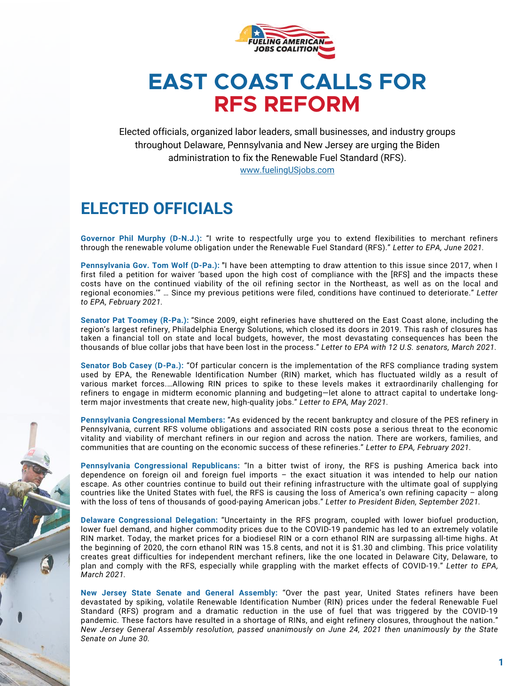

## **EAST COAST CALLS FOR RFS REFORM**

Elected officials, organized labor leaders, small businesses, and industry groups throughout Delaware, Pennsylvania and New Jersey are urging the Biden administration to fix the Renewable Fuel Standard (RFS). [www.fuelingUSjobs.com](https://www.fuelingusjobs.com/)

## **ELECTED OFFICIALS**

**[Governor](https://www.fuelingusjobs.com/library/public/Letters/Ltr-to-Administrator-Regan-6-1-21.pdf) Phil Murphy (D-N.J.):** "I write to respectfully urge you to extend flexibilities to merchant refiners through the renewable volume obligation under the Renewable Fuel Standard (RFS)." *Letter to EPA, June 2021.*

**[Pennsylvania](https://www.fuelingusjobs.com/library/public/Letters/Governor-Tom-Wolf-EPA-renewable-fuel-standard.pdf) Gov. Tom Wolf (D-Pa.): "**I have been attempting to draw attention to this issue since 2017, when I first filed a petition for waiver 'based upon the high cost of compliance with the [RFS] and the impacts these costs have on the continued viability of the oil refining sector in the Northeast, as well as on the local and regional economies.'" … Since my previous petitions were filed, conditions have continued to deteriorate." *Letter to EPA, February 2021.*

**Senator Pat [Toomey](https://www.fuelingusjobs.com/library/public/Letters/3-26-Toomey.pdf) (R-Pa.):** "Since 2009, eight refineries have shuttered on the East Coast alone, including the region's largest refinery, Philadelphia Energy Solutions, which closed its doors in 2019. This rash of closures has taken a financial toll on state and local budgets, however, the most devastating consequences has been the thousands of blue collar jobs that have been lost in the process." *Letter to EPA with 12 U.S. senators, March 2021.*

**[Senator](https://www.fuelingusjobs.com/library/public/Letters/Casey-RINS-RFS-letter-5-18-21.pdf) Bob Casey (D-Pa.):** "Of particular concern is the implementation of the RFS compliance trading system used by EPA, the Renewable Identification Number (RIN) market, which has fluctuated wildly as a result of various market forces.…Allowing RIN prices to spike to these levels makes it extraordinarily challenging for refiners to engage in midterm economic planning and budgeting—let alone to attract capital to undertake longterm major investments that create new, high-quality jobs." *Letter to EPA, May 2021.*

**Pennsylvania [Congressional](https://www.fuelingusjobs.com/library/public/Letters/PA-RFS-Volume-Mandates-Waiver-Letter.pdf) Members:** "As evidenced by the recent bankruptcy and closure of the PES refinery in Pennsylvania, current RFS volume obligations and associated RIN costs pose a serious threat to the economic vitality and viability of merchant refiners in our region and across the nation. There are workers, families, and communities that are counting on the economic success of these refineries." *Letter to EPA, February 2021.*

**Pennsylvania [Congressional](https://www.fuelingusjobs.com/library/public/Letters/PA-Republican-RFS-Letter-9-20-2021.pdf) Republicans:** "In a bitter twist of irony, the RFS is pushing America back into dependence on foreign oil and foreign fuel imports – the exact situation it was intended to help our nation escape. As other countries continue to build out their refining infrastructure with the ultimate goal of supplying countries like the United States with fuel, the RFS is causing the loss of America's own refining capacity – along with the loss of tens of thousands of good-paying American jobs." *Letter to President Biden, September 2021.*

**Delaware [Congressional](https://www.fuelingusjobs.com/library/public/Letters/20210322-DE-Delegation-ltr-to-Administrator-Regan-on-RFS.pdf) Delegation:** "Uncertainty in the RFS program, coupled with lower biofuel production, lower fuel demand, and higher commodity prices due to the COVID-19 pandemic has led to an extremely volatile RIN market. Today, the market prices for a biodiesel RIN or a corn ethanol RIN are surpassing all-time highs. At the beginning of 2020, the corn ethanol RIN was 15.8 cents, and not it is \$1.30 and climbing. This price volatility creates great difficulties for independent merchant refiners, like the one located in Delaware City, Delaware, to plan and comply with the RFS, especially while grappling with the market effects of COVID-19." *Letter to EPA, March 2021.*

**New Jersey State Senate and General [Assembly:](https://www.njleg.state.nj.us/2020/Bills/AJR/238_I1.HTM)** "Over the past year, United States refiners have been devastated by spiking, volatile Renewable Identification Number (RIN) prices under the federal Renewable Fuel Standard (RFS) program and a dramatic reduction in the use of fuel that was triggered by the COVID-19 pandemic. These factors have resulted in a shortage of RINs, and eight refinery closures, throughout the nation." *New Jersey General Assembly resolution, passed unanimously on June 24, 2021 then unanimously by the State Senate on June 30.*

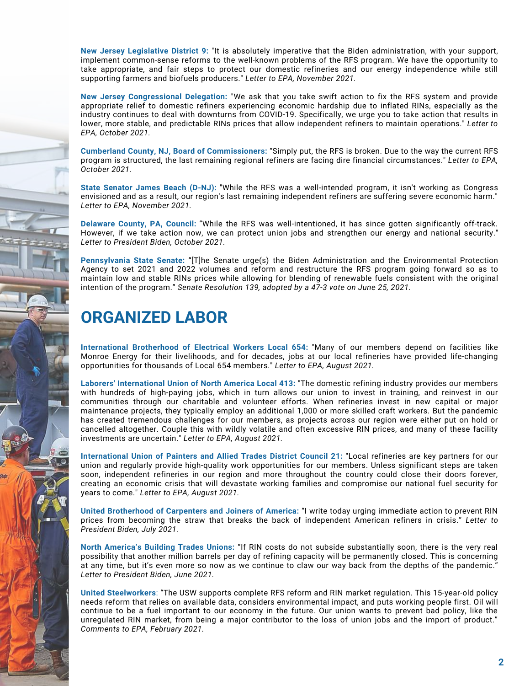**New Jersey [Legislative](https://www.fuelingusjobs.com/library/public/Letters/Regan-RFS-9thDistrict-60-.pdf) District 9:** "It is absolutely imperative that the Biden administration, with your support, implement common-sense reforms to the well-known problems of the RFS program. We have the opportunity to take appropriate, and fair steps to protect our domestic refineries and our energy independence while still supporting farmers and biofuels producers." *Letter to EPA, November 2021.*

**New Jersey [Congressional](https://www.fuelingusjobs.com/library/public/Letters/RINs-Letter_10-6-21.pdf) Delegation:** "We ask that you take swift action to fix the RFS system and provide appropriate relief to domestic refiners experiencing economic hardship due to inflated RINs, especially as the industry continues to deal with downturns from COVID-19. Specifically, we urge you to take action that results in lower, more stable, and predictable RINs prices that allow independent refiners to maintain operations." *Letter to EPA, October 2021.*

**Cumberland County, NJ, Board of [Commissioners:](https://www.fuelingusjobs.com/library/public/Letters/cumberland-signed-letter.pdf)** "Simply put, the RFS is broken. Due to the way the current RFS program is structured, the last remaining regional refiners are facing dire financial circumstances." *Letter to EPA, October 2021.*

**State [Senator](https://www.fuelingusjobs.com/library/public/Letters/EPA-Renewable-fuel-Standard-pdf-sen-beach-71-.pdf) James Beach (D-NJ):** ["](https://www.fuelingusjobs.com/library/public/Letters/EPA-Renewable-fuel-Standard-pdf-sen-beach-71-.pdf)While the RFS was a well-intended program, it isn't working as Congress envisioned and as a result, our region's last remaining independent refiners are suffering severe economic harm." *Letter to EPA, November 2021.*

**[D](https://www.legis.state.pa.us/cfdocs/billinfo/billinfo.cfm?syear=2021&sind=0&body=S&type=R&bn=139)elaware County, PA, [Council:](https://www.fuelingusjobs.com/library/public/Letters/Delaware-County-Council-RFS-Reform-Letter.pdf)** "While the RFS was well-intentioned, it has since gotten significantly off-track. However, if we take action now, we can protect union jobs and strengthen our energy and national security." *Letter to President Biden, October 2021.*

**[Pennsylvania](https://www.legis.state.pa.us/cfdocs/billinfo/billinfo.cfm?syear=2021&sind=0&body=S&type=R&bn=139) State Senate:** "[T]he Senate urge(s) the Biden Administration and the Environmental Protection Agency to set 2021 and 2022 volumes and reform and restructure the RFS program going forward so as to maintain low and stable RINs prices while allowing for blending of renewable fuels consistent with the original intention of the program." *Senate Resolution 139, adopted by a 47-3 vote on June 25, 2021.*

## **ORGANIZED LABOR**

**International Brotherhood of Electrical Workers [Local](https://www.fuelingusjobs.com/library/public/Letters/IBEW-654-RFS-Letter.pdf) 654:** "Many of our members depend on facilities like Monroe Energy for their livelihoods, and for decades, jobs at our local refineries have provided life-changing opportunities for thousands of Local 654 members." *Letter to EPA, August 2021.*

**Laborers' [International](https://www.fuelingusjobs.com/library/public/Letters/Laborers-Local-413.pdf) Union of North America Local 413:** "The domestic refining industry provides our members with hundreds of high-paying jobs, which in turn allows our union to invest in training, and reinvest in our communities through our charitable and volunteer efforts. When refineries invest in new capital or major maintenance projects, they typically employ an additional 1,000 or more skilled craft workers. But the pandemic has created tremendous challenges for our members, as projects across our region were either put on hold or cancelled altogether. Couple this with wildly volatile and often excessive RIN prices, and many of these facility investments are uncertain." *Letter to EPA, August 2021.*

**[International](https://www.fuelingusjobs.com/library/public/Letters/Painters-DC-21-RFS-Letter.pdf) Union of Painters and Allied Trades District Council 21:** "Local refineries are key partners for our union and regularly provide high-quality work opportunities for our members. Unless significant steps are taken soon, independent refineries in our region and more throughout the country could close their doors forever, creating an economic crisis that will devastate working families and compromise our national fuel security for years to come." *Letter to EPA, August 2021.*

**United [Brotherhood](https://www.fuelingusjobs.com/library/public/Letters/UBC-Letter-re-RINs-071321-59-.pdf) of Carpenters and Joiners of America:** "I write today urging immediate action to prevent RIN prices from becoming the straw that breaks the back of independent American refiners in crisis." *Letter to President Biden, July 2021.*

**North [America's](https://www.fuelingusjobs.com/library/public/Letters/20210602-NABTU-RFS-letter-to-Biden.pdf) Building Trades Unions:** "If RIN costs do not subside substantially soon, there is the very real possibility that another million barrels per day of refining capacity will be permanently closed. This is concerning at any time, but it's even more so now as we continue to claw our way back from the depths of the pandemic." *Letter to President Biden, June 2021.*

**United [Steelworkers](https://www.fuelingusjobs.com/library/public/Letters/21-02-16-comments-to-EPA-re-RFS-Governors-waivers-petitions.pdf)**: "The USW supports complete RFS reform and RIN market regulation. This 15-year-old policy needs reform that relies on available data, considers environmental impact, and puts working people first. Oil will continue to be a fuel important to our economy in the future. Our union wants to prevent bad policy, like the unregulated RIN market, from being a major contributor to the loss of union jobs and the import of product." *Comments to EPA, February 2021.*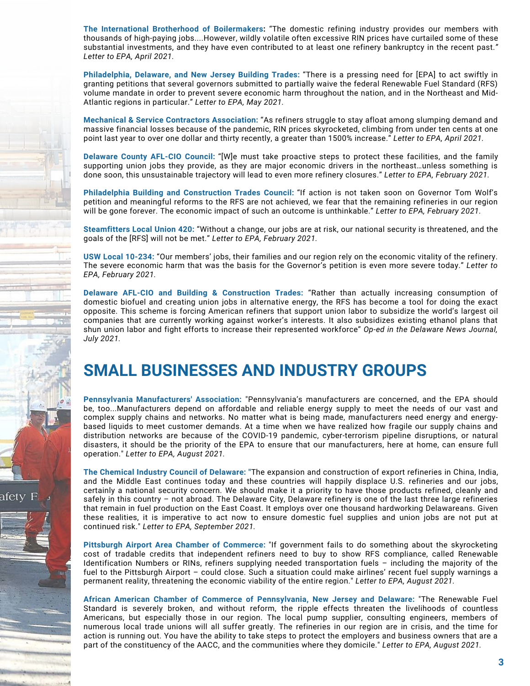**The International Brotherhood of [Boilermakers](https://www.fuelingusjobs.com/library/public/Letters/Boilermakers-2021.pdf):** "The domestic refining industry provides our members with thousands of high-paying jobs....However, wildly volatile often excessive RIN prices have curtailed some of these substantial investments, and they have even contributed to at least one refinery bankruptcy in the recent past.*" Letter to EPA, April 2021.*

**[Philadelphia,](https://www.fuelingusjobs.com/library/public/Letters/Building-Trades-RFS-Letter-Final-5-10.pdf) Delaware, and New Jersey Building Trades:** "There is a pressing need for [EPA] to act swiftly in granting petitions that several governors submitted to partially waive the federal Renewable Fuel Standard (RFS) volume mandate in order to prevent severe economic harm throughout the nation, and in the Northeast and Mid-Atlantic regions in particular." *Letter to EPA, May 2021.*

**Mechanical & Service Contractors [Association:](https://www.fuelingusjobs.com/library/public/Letters/SEPA-MSCA-RINS-Letter_4_27_21.pdf)** "As refiners struggle to stay afloat among slumping demand and massive financial losses because of the pandemic, RIN prices skyrocketed, climbing from under ten cents at one point last year to over one dollar and thirty recently, a greater than 1500% increase." *Letter to EPA, April 2021.*

**[Delaware](https://www.fuelingusjobs.com/library/public/Letters/Delaware-County-AFL-CIO-Letter.pdf) County AFL-CIO Council:** "[W]e must take proactive steps to protect these facilities, and the family supporting union jobs they provide, as they are major economic drivers in the northeast…unless something is done soon, this unsustainable trajectory will lead to even more refinery closures." *Letter to EPA, February 2021.*

**Philadelphia Building and [Construction](https://www.fuelingusjobs.com/library/public/Letters/Philladelphia-Building-Trades.pdf) Trades Council:** "If action is not taken soon on Governor Tom Wolf's petition and meaningful reforms to the RFS are not achieved, we fear that the remaining refineries in our region will be gone forever. The economic impact of such an outcome is unthinkable." *Letter to EPA, February 2021.*

**[Steamfitters](https://www.fuelingusjobs.com/library/public/Letters/Steamfitters-Local-420.pdf) Local Union 420:** "Without a change, our jobs are at risk, our national security is threatened, and the goals of the [RFS] will not be met." *Letter to EPA, February 2021.*

**USW Local [10-234:](https://www.fuelingusjobs.com/library/public/Letters/_USW-10-234-2-4-21-.pdf)** "Our members' jobs, their families and our region rely on the economic vitality of the refinery. The severe economic harm that was the basis for the Governor's petition is even more severe today." *Letter to EPA, February 2021.*

**Delaware AFL-CIO and Building & [Construction](https://www.delawareonline.com/story/opinion/2021/07/01/joe-biden-fix-renewable-fuel-standard-union-jobs-depend/7811218002/) Trades:** "Rather than actually increasing consumption of domestic biofuel and creating union jobs in alternative energy, the RFS has become a tool for doing the exact opposite. This scheme is forcing American refiners that support union labor to subsidize the world's largest oil companies that are currently working against worker's interests. It also subsidizes existing ethanol plans that shun union labor and fight efforts to increase their represented workforce" *Op-ed in the Delaware News Journal, July 2021.*

## **SMALL BUSINESSES AND INDUSTRY GROUPS**

afetv

**Pennsylvania [Manufacturers'](https://www.fuelingusjobs.com/library/public/Letters/PMA-Letter-to-EPA-8-27-21.pdf) Association:** "Pennsylvania's manufacturers are concerned, and the EPA should be, too...Manufacturers depend on affordable and reliable energy supply to meet the needs of our vast and complex supply chains and networks. No matter what is being made, manufacturers need energy and energybased liquids to meet customer demands. At a time when we have realized how fragile our supply chains and distribution networks are because of the COVID-19 pandemic, cyber-terrorism pipeline disruptions, or natural disasters, it should be the priority of the EPA to ensure that our manufacturers, here at home, can ensure full operation." *Letter to EPA, August 2021.*

**The Chemical Industry Council of [Delaware:](https://www.fuelingusjobs.com/library/public/Letters/CICD-Letter-to-EPA.pdf) "**The expansion and construction of export refineries in China, India, and the Middle East continues today and these countries will happily displace U.S. refineries and our jobs, certainly a national security concern. We should make it a priority to have those products refined, cleanly and safely in this country – not abroad. The Delaware City, Delaware refinery is one of the last three large refineries that remain in fuel production on the East Coast. It employs over one thousand hardworking Delawareans. Given these realities, it is imperative to act now to ensure domestic fuel supplies and union jobs are not put at continued risk." *Letter to EPA, September 2021.*

**Pittsburgh Airport Area Chamber of [Commerce](https://www.fuelingusjobs.com/library/public/Letters/Pittsburgh-Airport-Area-Chamber-RFS-Letter-53-.pdf):** "If government fails to do something about the skyrocketing cost of tradable credits that independent refiners need to buy to show RFS compliance, called Renewable Identification Numbers or RINs, refiners supplying needed transportation fuels – including the majority of the fuel to the Pittsburgh Airport – could close. Such a situation could make airlines' recent fuel supply warnings a permanent reality, threatening the economic viability of the entire region." *Letter to EPA, August 2021.*

**African American Chamber of Commerce of [Pennsylvania,](https://www.fuelingusjobs.com/library/public/Letters/African-American-Chamber-PA-NJ-DE-71-.pdf) New Jersey and Delaware:** "The Renewable Fuel Standard is severely broken, and without reform, the ripple effects threaten the livelihoods of countless Americans, but especially those in our region. The local pump supplier, consulting engineers, members of numerous local trade unions will all suffer greatly. The refineries in our region are in crisis, and the time for action is running out. You have the ability to take steps to protect the employers and business owners that are a part of the constituency of the AACC, and the communities where they domicile." *Letter to EPA, August 2021.*